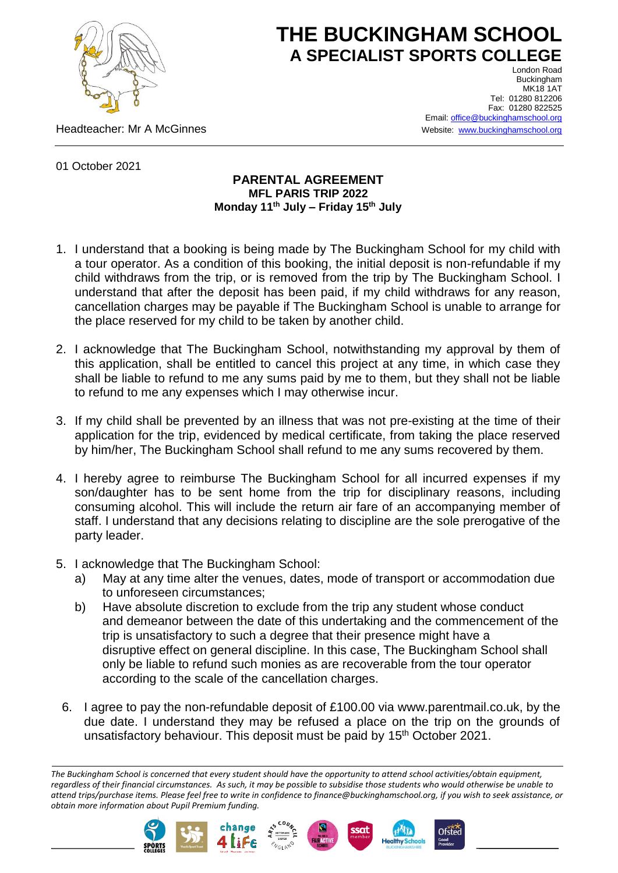

## **THE BUCKINGHAM SCHOOL A SPECIALIST SPORTS COLLEGE**

Headteacher: Mr A McGinnes

London Road Buckingham **MK18 1AT** Tel: 01280 812206 Fax: 01280 822525 Email[: office@buckinghamschool.org](mailto:office@buckinghamschool.org) Website: [www.buckinghamschool.org](http://www.buckinghamschool.org/)

01 October 2021

## **PARENTAL AGREEMENT MFL PARIS TRIP 2022 Monday 11th July – Friday 15 th July**

- 1. I understand that a booking is being made by The Buckingham School for my child with a tour operator. As a condition of this booking, the initial deposit is non-refundable if my child withdraws from the trip, or is removed from the trip by The Buckingham School. I understand that after the deposit has been paid, if my child withdraws for any reason, cancellation charges may be payable if The Buckingham School is unable to arrange for the place reserved for my child to be taken by another child.
- 2. I acknowledge that The Buckingham School, notwithstanding my approval by them of this application, shall be entitled to cancel this project at any time, in which case they shall be liable to refund to me any sums paid by me to them, but they shall not be liable to refund to me any expenses which I may otherwise incur.
- 3. If my child shall be prevented by an illness that was not pre-existing at the time of their application for the trip, evidenced by medical certificate, from taking the place reserved by him/her, The Buckingham School shall refund to me any sums recovered by them.
- 4. I hereby agree to reimburse The Buckingham School for all incurred expenses if my son/daughter has to be sent home from the trip for disciplinary reasons, including consuming alcohol. This will include the return air fare of an accompanying member of staff. I understand that any decisions relating to discipline are the sole prerogative of the party leader.
- 5. I acknowledge that The Buckingham School:
	- a) May at any time alter the venues, dates, mode of transport or accommodation due to unforeseen circumstances;
	- b) Have absolute discretion to exclude from the trip any student whose conduct and demeanor between the date of this undertaking and the commencement of the trip is unsatisfactory to such a degree that their presence might have a disruptive effect on general discipline. In this case, The Buckingham School shall only be liable to refund such monies as are recoverable from the tour operator according to the scale of the cancellation charges.
	- 6. I agree to pay the non-refundable deposit of £100.00 via www.parentmail.co.uk, by the due date. I understand they may be refused a place on the trip on the grounds of unsatisfactory behaviour. This deposit must be paid by 15<sup>th</sup> October 2021.

*The Buckingham School is concerned that every student should have the opportunity to attend school activities/obtain equipment, regardless of their financial circumstances. As such, it may be possible to subsidise those students who would otherwise be unable to attend trips/purchase items. Please feel free to write in confidence to finance@buckinghamschool.org, if you wish to seek assistance, or obtain more information about Pupil Premium funding.*